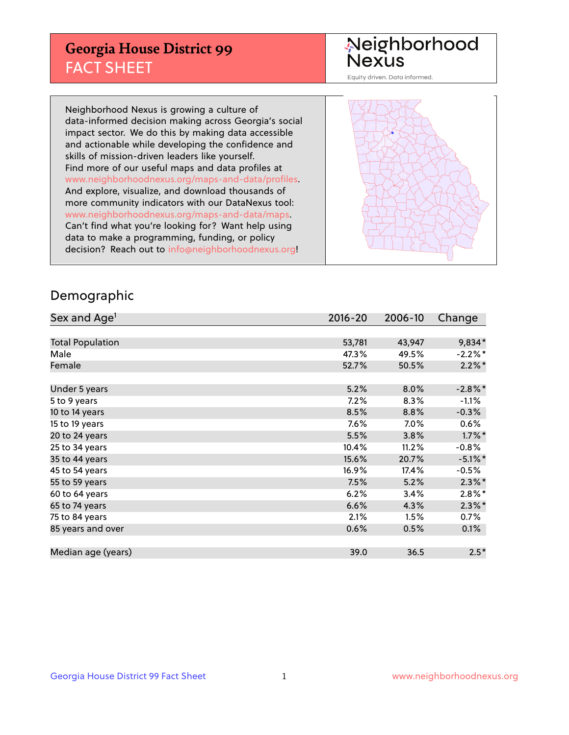## **Georgia House District 99** FACT SHEET

# Neighborhood<br>Nexus

Equity driven. Data informed.

Neighborhood Nexus is growing a culture of data-informed decision making across Georgia's social impact sector. We do this by making data accessible and actionable while developing the confidence and skills of mission-driven leaders like yourself. Find more of our useful maps and data profiles at www.neighborhoodnexus.org/maps-and-data/profiles. And explore, visualize, and download thousands of more community indicators with our DataNexus tool: www.neighborhoodnexus.org/maps-and-data/maps. Can't find what you're looking for? Want help using data to make a programming, funding, or policy decision? Reach out to [info@neighborhoodnexus.org!](mailto:info@neighborhoodnexus.org)



### Demographic

| Sex and Age <sup>1</sup> | 2016-20 | 2006-10 | Change     |
|--------------------------|---------|---------|------------|
|                          |         |         |            |
| <b>Total Population</b>  | 53,781  | 43,947  | 9,834*     |
| Male                     | 47.3%   | 49.5%   | $-2.2%$ *  |
| Female                   | 52.7%   | 50.5%   | $2.2\%$ *  |
|                          |         |         |            |
| Under 5 years            | 5.2%    | 8.0%    | $-2.8\%$ * |
| 5 to 9 years             | 7.2%    | 8.3%    | $-1.1%$    |
| 10 to 14 years           | 8.5%    | 8.8%    | $-0.3%$    |
| 15 to 19 years           | 7.6%    | 7.0%    | 0.6%       |
| 20 to 24 years           | 5.5%    | 3.8%    | $1.7\%$ *  |
| 25 to 34 years           | 10.4%   | 11.2%   | $-0.8%$    |
| 35 to 44 years           | 15.6%   | 20.7%   | $-5.1\%$ * |
| 45 to 54 years           | 16.9%   | 17.4%   | $-0.5%$    |
| 55 to 59 years           | 7.5%    | 5.2%    | $2.3\%$ *  |
| 60 to 64 years           | 6.2%    | 3.4%    | $2.8\%$ *  |
| 65 to 74 years           | 6.6%    | 4.3%    | $2.3\%$ *  |
| 75 to 84 years           | 2.1%    | 1.5%    | 0.7%       |
| 85 years and over        | 0.6%    | 0.5%    | 0.1%       |
|                          |         |         |            |
| Median age (years)       | 39.0    | 36.5    | $2.5*$     |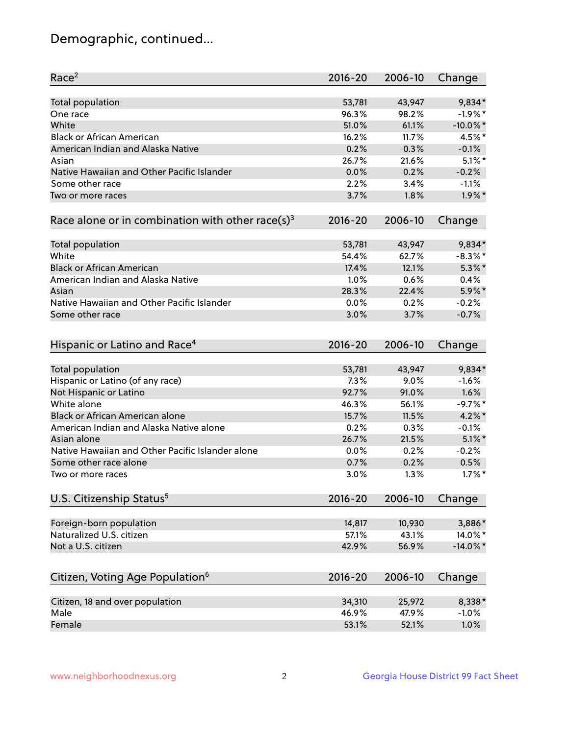## Demographic, continued...

| Race <sup>2</sup>                                            | $2016 - 20$  | 2006-10      | Change            |
|--------------------------------------------------------------|--------------|--------------|-------------------|
| Total population                                             | 53,781       | 43,947       | $9,834*$          |
| One race                                                     | 96.3%        | 98.2%        | $-1.9%$ *         |
| White                                                        | 51.0%        | 61.1%        | $-10.0\%$ *       |
| <b>Black or African American</b>                             | 16.2%        | 11.7%        | 4.5%*             |
| American Indian and Alaska Native                            | 0.2%         | 0.3%         | $-0.1%$           |
| Asian                                                        | 26.7%        | 21.6%        | $5.1\%$ *         |
| Native Hawaiian and Other Pacific Islander                   | 0.0%         | 0.2%         | $-0.2%$           |
| Some other race                                              | 2.2%         | 3.4%         | $-1.1%$           |
| Two or more races                                            | 3.7%         | 1.8%         | $1.9\%$ *         |
| Race alone or in combination with other race(s) <sup>3</sup> | $2016 - 20$  | 2006-10      | Change            |
|                                                              |              |              |                   |
| Total population                                             | 53,781       | 43,947       | 9,834*            |
| White                                                        | 54.4%        | 62.7%        | $-8.3\%$ *        |
| <b>Black or African American</b>                             | 17.4%        | 12.1%        | $5.3\%$ *         |
| American Indian and Alaska Native                            | 1.0%         | 0.6%         | 0.4%              |
| Asian                                                        | 28.3%        | 22.4%        | 5.9%*             |
| Native Hawaiian and Other Pacific Islander                   | 0.0%         | 0.2%         | $-0.2%$           |
| Some other race                                              | 3.0%         | 3.7%         | $-0.7%$           |
| Hispanic or Latino and Race <sup>4</sup>                     | $2016 - 20$  | 2006-10      | Change            |
| Total population                                             | 53,781       | 43,947       | 9,834*            |
| Hispanic or Latino (of any race)                             | 7.3%         | 9.0%         | $-1.6%$           |
| Not Hispanic or Latino                                       | 92.7%        | 91.0%        | 1.6%              |
| White alone                                                  | 46.3%        | 56.1%        | $-9.7%$ *         |
| <b>Black or African American alone</b>                       | 15.7%        | 11.5%        | $4.2\%$ *         |
| American Indian and Alaska Native alone                      | 0.2%         | 0.3%         | $-0.1%$           |
| Asian alone                                                  | 26.7%        | 21.5%        | $5.1\%$ *         |
| Native Hawaiian and Other Pacific Islander alone             |              |              |                   |
|                                                              | 0.0%         | 0.2%         | $-0.2%$           |
| Some other race alone<br>Two or more races                   | 0.7%<br>3.0% | 0.2%<br>1.3% | 0.5%<br>$1.7\%$ * |
|                                                              |              |              |                   |
| U.S. Citizenship Status <sup>5</sup>                         | $2016 - 20$  | 2006-10      | Change            |
| Foreign-born population                                      | 14,817       | 10,930       | 3,886*            |
| Naturalized U.S. citizen                                     | 57.1%        | 43.1%        | 14.0%*            |
| Not a U.S. citizen                                           | 42.9%        | 56.9%        | $-14.0\%$ *       |
|                                                              |              |              |                   |
| Citizen, Voting Age Population <sup>6</sup>                  | $2016 - 20$  | 2006-10      | Change            |
| Citizen, 18 and over population                              | 34,310       | 25,972       | 8,338*            |
| Male                                                         | 46.9%        | 47.9%        | $-1.0%$           |
| Female                                                       | 53.1%        | 52.1%        | 1.0%              |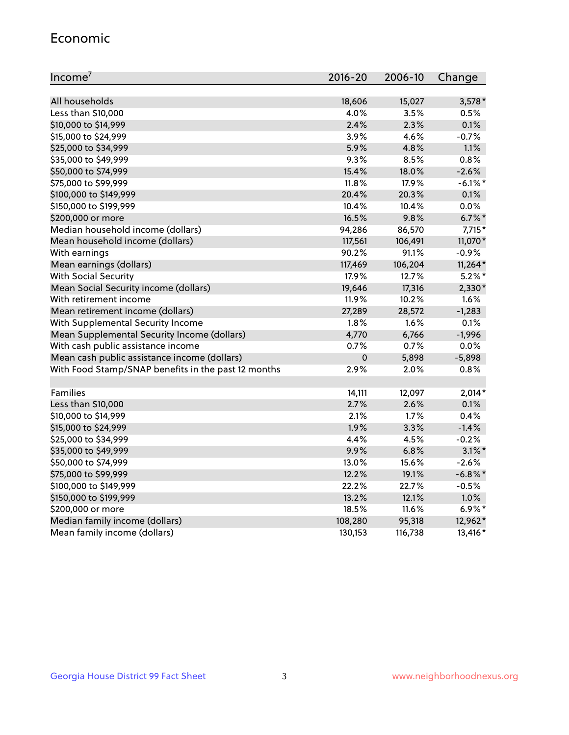#### Economic

| Income <sup>7</sup>                                 | $2016 - 20$ | 2006-10 | Change     |
|-----------------------------------------------------|-------------|---------|------------|
|                                                     |             |         |            |
| All households                                      | 18,606      | 15,027  | $3,578*$   |
| Less than \$10,000                                  | 4.0%        | 3.5%    | 0.5%       |
| \$10,000 to \$14,999                                | 2.4%        | 2.3%    | 0.1%       |
| \$15,000 to \$24,999                                | 3.9%        | 4.6%    | $-0.7%$    |
| \$25,000 to \$34,999                                | 5.9%        | 4.8%    | 1.1%       |
| \$35,000 to \$49,999                                | 9.3%        | 8.5%    | 0.8%       |
| \$50,000 to \$74,999                                | 15.4%       | 18.0%   | $-2.6%$    |
| \$75,000 to \$99,999                                | 11.8%       | 17.9%   | $-6.1\%$ * |
| \$100,000 to \$149,999                              | 20.4%       | 20.3%   | 0.1%       |
| \$150,000 to \$199,999                              | 10.4%       | 10.4%   | 0.0%       |
| \$200,000 or more                                   | 16.5%       | 9.8%    | $6.7\%$ *  |
| Median household income (dollars)                   | 94,286      | 86,570  | $7,715*$   |
| Mean household income (dollars)                     | 117,561     | 106,491 | 11,070*    |
| With earnings                                       | 90.2%       | 91.1%   | $-0.9%$    |
| Mean earnings (dollars)                             | 117,469     | 106,204 | $11,264*$  |
| <b>With Social Security</b>                         | 17.9%       | 12.7%   | $5.2\%$ *  |
| Mean Social Security income (dollars)               | 19,646      | 17,316  | 2,330*     |
| With retirement income                              | 11.9%       | 10.2%   | 1.6%       |
| Mean retirement income (dollars)                    | 27,289      | 28,572  | $-1,283$   |
| With Supplemental Security Income                   | $1.8\%$     | 1.6%    | 0.1%       |
| Mean Supplemental Security Income (dollars)         | 4,770       | 6,766   | $-1,996$   |
| With cash public assistance income                  | 0.7%        | 0.7%    | 0.0%       |
| Mean cash public assistance income (dollars)        | $\pmb{0}$   | 5,898   | $-5,898$   |
| With Food Stamp/SNAP benefits in the past 12 months | 2.9%        | 2.0%    | 0.8%       |
|                                                     |             |         |            |
| Families                                            | 14,111      | 12,097  | $2,014*$   |
| Less than \$10,000                                  | 2.7%        | 2.6%    | 0.1%       |
| \$10,000 to \$14,999                                | 2.1%        | 1.7%    | 0.4%       |
| \$15,000 to \$24,999                                | 1.9%        | 3.3%    | $-1.4%$    |
| \$25,000 to \$34,999                                | 4.4%        | 4.5%    | $-0.2%$    |
| \$35,000 to \$49,999                                | 9.9%        | 6.8%    | $3.1\%$ *  |
| \$50,000 to \$74,999                                | 13.0%       | 15.6%   | $-2.6%$    |
| \$75,000 to \$99,999                                | 12.2%       | 19.1%   | $-6.8\%$ * |
| \$100,000 to \$149,999                              | 22.2%       | 22.7%   | $-0.5%$    |
| \$150,000 to \$199,999                              | 13.2%       | 12.1%   | 1.0%       |
| \$200,000 or more                                   | 18.5%       | 11.6%   | $6.9\%$ *  |
| Median family income (dollars)                      | 108,280     | 95,318  | 12,962*    |
| Mean family income (dollars)                        | 130,153     | 116,738 | 13,416*    |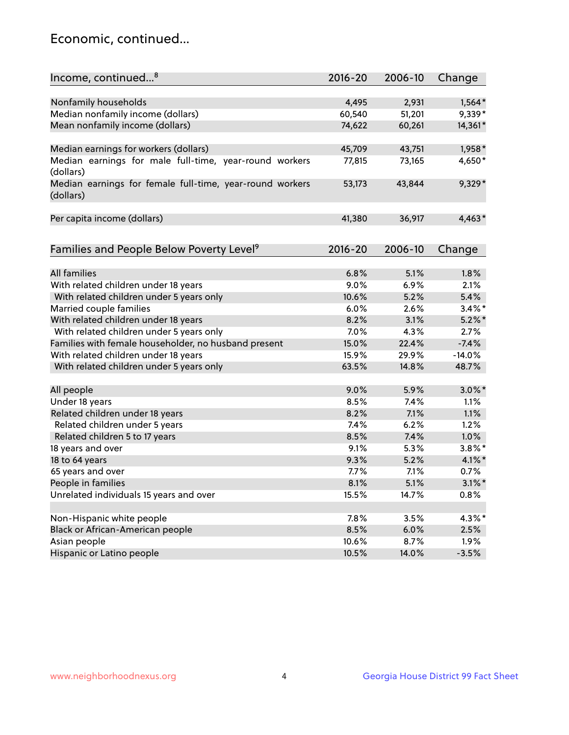## Economic, continued...

| Income, continued <sup>8</sup>                                        | $2016 - 20$ | 2006-10 | Change    |
|-----------------------------------------------------------------------|-------------|---------|-----------|
|                                                                       |             |         |           |
| Nonfamily households                                                  | 4,495       | 2,931   | $1,564*$  |
| Median nonfamily income (dollars)                                     | 60,540      | 51,201  | 9,339*    |
| Mean nonfamily income (dollars)                                       | 74,622      | 60,261  | 14,361*   |
| Median earnings for workers (dollars)                                 | 45,709      | 43,751  | 1,958*    |
| Median earnings for male full-time, year-round workers                | 77,815      | 73,165  | 4,650*    |
| (dollars)                                                             |             |         |           |
| Median earnings for female full-time, year-round workers<br>(dollars) | 53,173      | 43,844  | 9,329*    |
| Per capita income (dollars)                                           | 41,380      | 36,917  | $4,463*$  |
|                                                                       |             |         |           |
| Families and People Below Poverty Level <sup>9</sup>                  | $2016 - 20$ | 2006-10 | Change    |
|                                                                       |             |         |           |
| <b>All families</b>                                                   | 6.8%        | 5.1%    | 1.8%      |
| With related children under 18 years                                  | 9.0%        | 6.9%    | 2.1%      |
| With related children under 5 years only                              | 10.6%       | 5.2%    | 5.4%      |
| Married couple families                                               | 6.0%        | 2.6%    | $3.4\%$ * |
| With related children under 18 years                                  | 8.2%        | 3.1%    | $5.2\%$ * |
| With related children under 5 years only                              | 7.0%        | 4.3%    | 2.7%      |
| Families with female householder, no husband present                  | 15.0%       | 22.4%   | $-7.4%$   |
| With related children under 18 years                                  | 15.9%       | 29.9%   | $-14.0%$  |
| With related children under 5 years only                              | 63.5%       | 14.8%   | 48.7%     |
| All people                                                            | 9.0%        | 5.9%    | $3.0\%$ * |
| Under 18 years                                                        | 8.5%        | 7.4%    | 1.1%      |
| Related children under 18 years                                       | 8.2%        | 7.1%    | 1.1%      |
| Related children under 5 years                                        | 7.4%        | 6.2%    | 1.2%      |
| Related children 5 to 17 years                                        | 8.5%        | 7.4%    | 1.0%      |
| 18 years and over                                                     | 9.1%        | 5.3%    | $3.8\%$ * |
| 18 to 64 years                                                        | 9.3%        | 5.2%    | $4.1\%$ * |
| 65 years and over                                                     | 7.7%        | 7.1%    | 0.7%      |
| People in families                                                    | 8.1%        | 5.1%    | $3.1\%$ * |
| Unrelated individuals 15 years and over                               | 15.5%       | 14.7%   | 0.8%      |
|                                                                       |             |         |           |
| Non-Hispanic white people                                             | 7.8%        | 3.5%    | 4.3%*     |
| Black or African-American people                                      | 8.5%        | 6.0%    | 2.5%      |
| Asian people                                                          | 10.6%       | 8.7%    | 1.9%      |
| Hispanic or Latino people                                             | 10.5%       | 14.0%   | $-3.5%$   |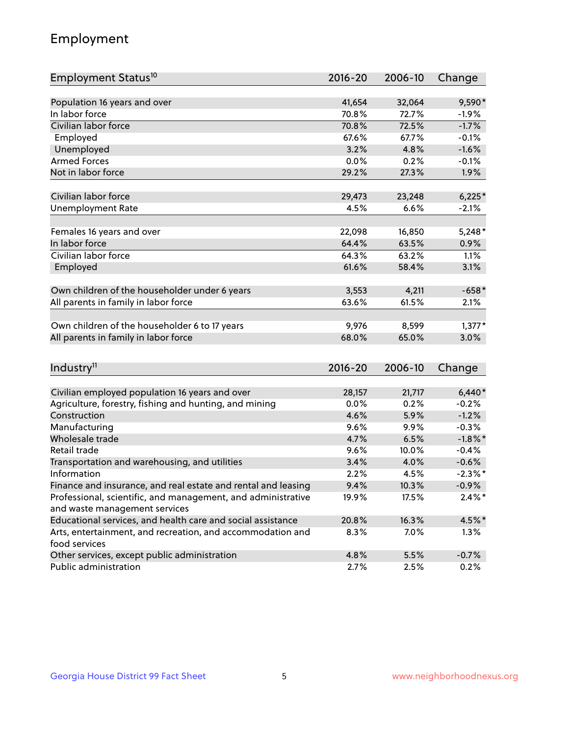## Employment

| Employment Status <sup>10</sup>                                             | $2016 - 20$ | 2006-10 | Change     |
|-----------------------------------------------------------------------------|-------------|---------|------------|
|                                                                             |             |         |            |
| Population 16 years and over                                                | 41,654      | 32,064  | 9,590*     |
| In labor force                                                              | 70.8%       | 72.7%   | $-1.9%$    |
| Civilian labor force                                                        | 70.8%       | 72.5%   | $-1.7%$    |
| Employed                                                                    | 67.6%       | 67.7%   | $-0.1%$    |
| Unemployed                                                                  | 3.2%        | 4.8%    | $-1.6%$    |
| <b>Armed Forces</b>                                                         | 0.0%        | 0.2%    | $-0.1%$    |
| Not in labor force                                                          | 29.2%       | 27.3%   | 1.9%       |
| Civilian labor force                                                        |             |         |            |
|                                                                             | 29,473      | 23,248  | $6,225*$   |
| <b>Unemployment Rate</b>                                                    | 4.5%        | 6.6%    | $-2.1%$    |
| Females 16 years and over                                                   | 22,098      | 16,850  | $5,248*$   |
| In labor force                                                              | 64.4%       | 63.5%   | 0.9%       |
| Civilian labor force                                                        | 64.3%       | 63.2%   | 1.1%       |
| Employed                                                                    | 61.6%       | 58.4%   | 3.1%       |
|                                                                             |             |         |            |
| Own children of the householder under 6 years                               | 3,553       | 4,211   | $-658*$    |
| All parents in family in labor force                                        | 63.6%       | 61.5%   | 2.1%       |
| Own children of the householder 6 to 17 years                               | 9,976       | 8,599   | $1,377*$   |
| All parents in family in labor force                                        | 68.0%       | 65.0%   | 3.0%       |
|                                                                             |             |         |            |
| Industry <sup>11</sup>                                                      | $2016 - 20$ | 2006-10 | Change     |
|                                                                             |             |         |            |
| Civilian employed population 16 years and over                              | 28,157      | 21,717  | $6,440*$   |
| Agriculture, forestry, fishing and hunting, and mining                      | 0.0%        | 0.2%    | $-0.2%$    |
| Construction                                                                | 4.6%        | 5.9%    | $-1.2%$    |
| Manufacturing                                                               | 9.6%        | 9.9%    | $-0.3%$    |
| Wholesale trade                                                             | 4.7%        | 6.5%    | $-1.8\%$ * |
| Retail trade                                                                | 9.6%        | 10.0%   | $-0.4%$    |
| Transportation and warehousing, and utilities                               | 3.4%        | 4.0%    | $-0.6%$    |
| Information                                                                 | 2.2%        | 4.5%    | $-2.3\%$ * |
| Finance and insurance, and real estate and rental and leasing               | 9.4%        | 10.3%   | $-0.9\%$   |
| Professional, scientific, and management, and administrative                | 19.9%       | 17.5%   | $2.4\%$ *  |
| and waste management services                                               |             |         |            |
| Educational services, and health care and social assistance                 | 20.8%       | 16.3%   | 4.5%*      |
| Arts, entertainment, and recreation, and accommodation and<br>food services | 8.3%        | 7.0%    | 1.3%       |
| Other services, except public administration                                | 4.8%        | 5.5%    | $-0.7%$    |
| Public administration                                                       | 2.7%        | 2.5%    | 0.2%       |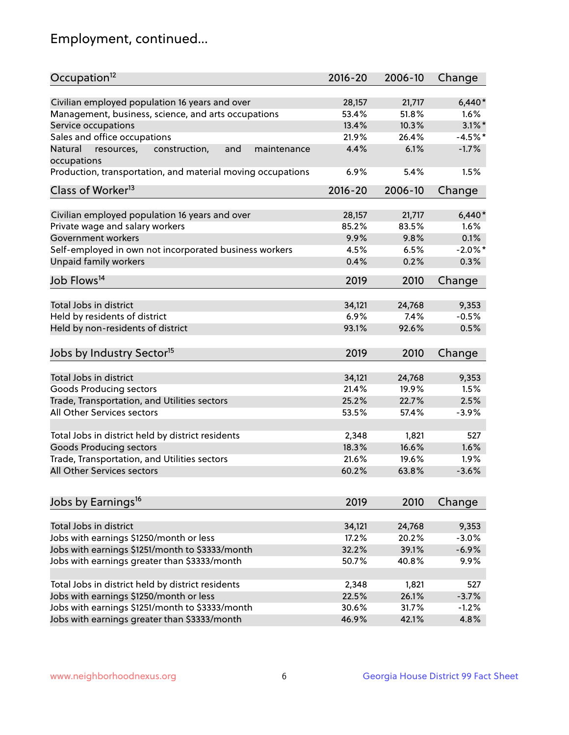## Employment, continued...

| Occupation <sup>12</sup>                                     | $2016 - 20$ | 2006-10 | Change     |
|--------------------------------------------------------------|-------------|---------|------------|
| Civilian employed population 16 years and over               | 28,157      | 21,717  | $6,440*$   |
| Management, business, science, and arts occupations          | 53.4%       | 51.8%   | 1.6%       |
| Service occupations                                          | 13.4%       | 10.3%   | $3.1\%$ *  |
| Sales and office occupations                                 | 21.9%       | 26.4%   | $-4.5%$ *  |
| Natural<br>and<br>resources,<br>construction,<br>maintenance | 4.4%        | 6.1%    | $-1.7%$    |
| occupations                                                  |             |         |            |
| Production, transportation, and material moving occupations  | 6.9%        | 5.4%    | 1.5%       |
| Class of Worker <sup>13</sup>                                | $2016 - 20$ | 2006-10 | Change     |
|                                                              |             |         |            |
| Civilian employed population 16 years and over               | 28,157      | 21,717  | $6,440*$   |
| Private wage and salary workers                              | 85.2%       | 83.5%   | 1.6%       |
| Government workers                                           | 9.9%        | 9.8%    | 0.1%       |
| Self-employed in own not incorporated business workers       | 4.5%        | 6.5%    | $-2.0\%$ * |
| Unpaid family workers                                        | 0.4%        | 0.2%    | 0.3%       |
| Job Flows <sup>14</sup>                                      | 2019        | 2010    | Change     |
|                                                              |             |         |            |
| Total Jobs in district                                       | 34,121      | 24,768  | 9,353      |
| Held by residents of district                                | 6.9%        | 7.4%    | $-0.5%$    |
| Held by non-residents of district                            | 93.1%       | 92.6%   | 0.5%       |
| Jobs by Industry Sector <sup>15</sup>                        | 2019        | 2010    | Change     |
|                                                              |             |         |            |
| Total Jobs in district                                       | 34,121      | 24,768  | 9,353      |
| <b>Goods Producing sectors</b>                               | 21.4%       | 19.9%   | 1.5%       |
| Trade, Transportation, and Utilities sectors                 | 25.2%       | 22.7%   | 2.5%       |
| All Other Services sectors                                   | 53.5%       | 57.4%   | $-3.9%$    |
| Total Jobs in district held by district residents            | 2,348       | 1,821   | 527        |
| <b>Goods Producing sectors</b>                               | 18.3%       | 16.6%   | 1.6%       |
| Trade, Transportation, and Utilities sectors                 | 21.6%       | 19.6%   | 1.9%       |
| All Other Services sectors                                   | 60.2%       | 63.8%   | $-3.6%$    |
|                                                              |             |         |            |
| Jobs by Earnings <sup>16</sup>                               | 2019        | 2010    | Change     |
|                                                              |             |         |            |
| Total Jobs in district                                       | 34,121      | 24,768  | 9,353      |
| Jobs with earnings \$1250/month or less                      | 17.2%       | 20.2%   | $-3.0%$    |
| Jobs with earnings \$1251/month to \$3333/month              | 32.2%       | 39.1%   | $-6.9%$    |
| Jobs with earnings greater than \$3333/month                 | 50.7%       | 40.8%   | 9.9%       |
| Total Jobs in district held by district residents            | 2,348       | 1,821   | 527        |
| Jobs with earnings \$1250/month or less                      | 22.5%       | 26.1%   | $-3.7%$    |
| Jobs with earnings \$1251/month to \$3333/month              | 30.6%       | 31.7%   | $-1.2%$    |
| Jobs with earnings greater than \$3333/month                 | 46.9%       | 42.1%   | 4.8%       |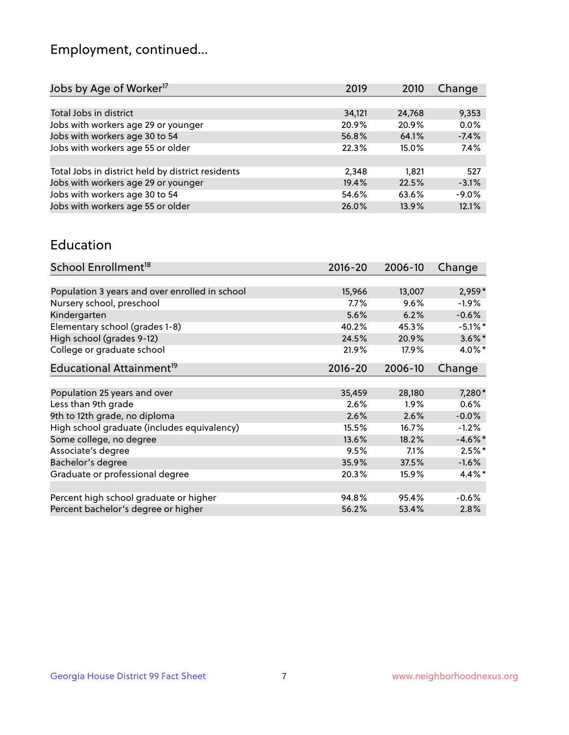## Employment, continued...

| Jobs by Age of Worker <sup>17</sup>               | 2019   | 2010   | Change  |
|---------------------------------------------------|--------|--------|---------|
|                                                   |        |        |         |
| Total Jobs in district                            | 34,121 | 24,768 | 9,353   |
| Jobs with workers age 29 or younger               | 20.9%  | 20.9%  | 0.0%    |
| Jobs with workers age 30 to 54                    | 56.8%  | 64.1%  | $-7.4%$ |
| Jobs with workers age 55 or older                 | 22.3%  | 15.0%  | 7.4%    |
|                                                   |        |        |         |
| Total Jobs in district held by district residents | 2,348  | 1.821  | 527     |
| Jobs with workers age 29 or younger               | 19.4%  | 22.5%  | $-3.1%$ |
| Jobs with workers age 30 to 54                    | 54.6%  | 63.6%  | $-9.0%$ |
| Jobs with workers age 55 or older                 | 26.0%  | 13.9%  | 12.1%   |
|                                                   |        |        |         |

#### Education

| School Enrollment <sup>18</sup>                | $2016 - 20$ | 2006-10 | Change     |
|------------------------------------------------|-------------|---------|------------|
|                                                |             |         |            |
| Population 3 years and over enrolled in school | 15,966      | 13,007  | $2,959*$   |
| Nursery school, preschool                      | $7.7\%$     | 9.6%    | $-1.9\%$   |
| Kindergarten                                   | 5.6%        | 6.2%    | $-0.6%$    |
| Elementary school (grades 1-8)                 | 40.2%       | 45.3%   | $-5.1\%$ * |
| High school (grades 9-12)                      | 24.5%       | 20.9%   | $3.6\%$ *  |
| College or graduate school                     | 21.9%       | 17.9%   | $4.0\%$ *  |
| Educational Attainment <sup>19</sup>           | $2016 - 20$ | 2006-10 | Change     |
|                                                |             |         |            |
| Population 25 years and over                   | 35,459      | 28,180  | $7,280*$   |
| Less than 9th grade                            | 2.6%        | $1.9\%$ | 0.6%       |
| 9th to 12th grade, no diploma                  | 2.6%        | 2.6%    | $-0.0%$    |
| High school graduate (includes equivalency)    | 15.5%       | 16.7%   | $-1.2%$    |
| Some college, no degree                        | 13.6%       | 18.2%   | $-4.6\%$ * |
| Associate's degree                             | 9.5%        | 7.1%    | $2.5%$ *   |
| Bachelor's degree                              | 35.9%       | 37.5%   | $-1.6%$    |
| Graduate or professional degree                | 20.3%       | 15.9%   | 4.4%*      |
|                                                |             |         |            |
| Percent high school graduate or higher         | 94.8%       | 95.4%   | $-0.6%$    |
| Percent bachelor's degree or higher            | 56.2%       | 53.4%   | 2.8%       |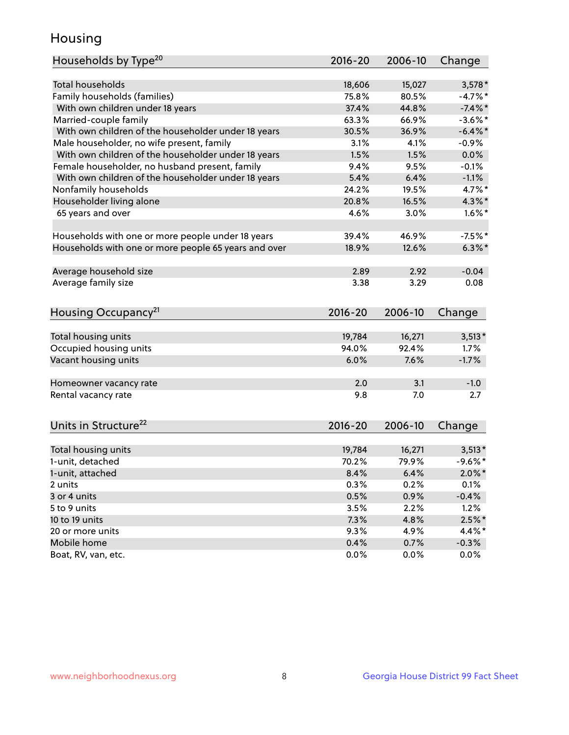## Housing

| Households by Type <sup>20</sup>                     | 2016-20 | 2006-10 | Change     |
|------------------------------------------------------|---------|---------|------------|
|                                                      |         |         |            |
| <b>Total households</b>                              | 18,606  | 15,027  | $3,578*$   |
| Family households (families)                         | 75.8%   | 80.5%   | $-4.7%$ *  |
| With own children under 18 years                     | 37.4%   | 44.8%   | $-7.4%$    |
| Married-couple family                                | 63.3%   | 66.9%   | $-3.6\%$ * |
| With own children of the householder under 18 years  | 30.5%   | 36.9%   | $-6.4\%$ * |
| Male householder, no wife present, family            | 3.1%    | 4.1%    | $-0.9%$    |
| With own children of the householder under 18 years  | 1.5%    | 1.5%    | 0.0%       |
| Female householder, no husband present, family       | 9.4%    | 9.5%    | $-0.1%$    |
| With own children of the householder under 18 years  | 5.4%    | 6.4%    | $-1.1%$    |
| Nonfamily households                                 | 24.2%   | 19.5%   | 4.7%*      |
| Householder living alone                             | 20.8%   | 16.5%   | $4.3\%$ *  |
| 65 years and over                                    | 4.6%    | 3.0%    | $1.6\%$ *  |
|                                                      |         |         |            |
| Households with one or more people under 18 years    | 39.4%   | 46.9%   | $-7.5%$ *  |
| Households with one or more people 65 years and over | 18.9%   | 12.6%   | $6.3\%$ *  |
|                                                      |         |         |            |
| Average household size                               | 2.89    | 2.92    | $-0.04$    |
| Average family size                                  | 3.38    | 3.29    | 0.08       |
|                                                      |         |         |            |
| Housing Occupancy <sup>21</sup>                      | 2016-20 | 2006-10 | Change     |
|                                                      |         |         |            |
| Total housing units                                  | 19,784  | 16,271  | $3,513*$   |
| Occupied housing units                               | 94.0%   | 92.4%   | 1.7%       |
| Vacant housing units                                 | 6.0%    | 7.6%    | $-1.7%$    |
|                                                      |         |         |            |
| Homeowner vacancy rate                               | 2.0     | 3.1     | $-1.0$     |
| Rental vacancy rate                                  | 9.8     | 7.0     | 2.7        |
|                                                      |         |         |            |
|                                                      |         |         |            |
| Units in Structure <sup>22</sup>                     | 2016-20 | 2006-10 | Change     |
|                                                      |         |         |            |
| Total housing units                                  | 19,784  | 16,271  | $3,513*$   |
| 1-unit, detached                                     | 70.2%   | 79.9%   | $-9.6%$ *  |
| 1-unit, attached                                     | 8.4%    | 6.4%    | $2.0\%$ *  |
| 2 units                                              | 0.3%    | 0.2%    | 0.1%       |
| 3 or 4 units                                         | 0.5%    | 0.9%    | $-0.4%$    |
| 5 to 9 units                                         | 3.5%    | 2.2%    | 1.2%       |
| 10 to 19 units                                       | 7.3%    | 4.8%    | $2.5%$ *   |
| 20 or more units                                     | 9.3%    | 4.9%    | 4.4%*      |
| Mobile home                                          | 0.4%    | 0.7%    | $-0.3%$    |
| Boat, RV, van, etc.                                  | 0.0%    | $0.0\%$ | 0.0%       |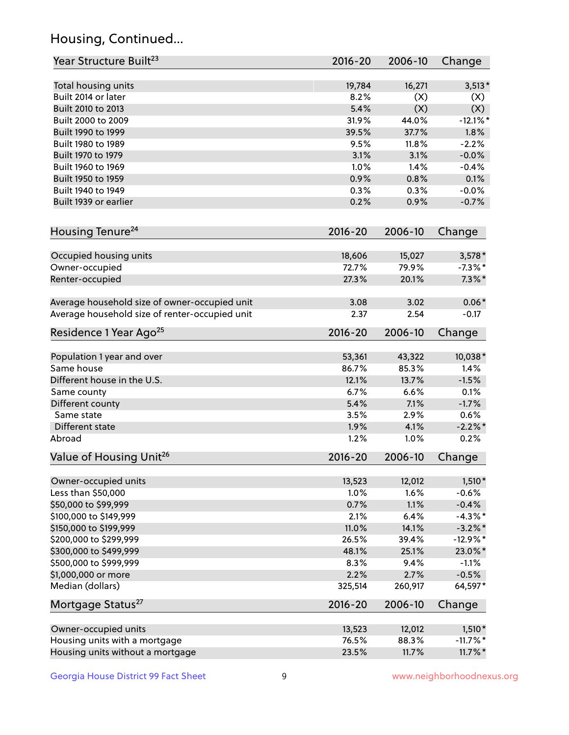## Housing, Continued...

| Year Structure Built <sup>23</sup>             | 2016-20     | 2006-10 | Change      |
|------------------------------------------------|-------------|---------|-------------|
| Total housing units                            | 19,784      | 16,271  | $3,513*$    |
| Built 2014 or later                            | 8.2%        | (X)     | (X)         |
| Built 2010 to 2013                             | 5.4%        | (X)     | (X)         |
| Built 2000 to 2009                             | 31.9%       | 44.0%   | $-12.1%$    |
| Built 1990 to 1999                             | 39.5%       | 37.7%   | 1.8%        |
| Built 1980 to 1989                             | 9.5%        | 11.8%   | $-2.2%$     |
| Built 1970 to 1979                             | 3.1%        | 3.1%    | $-0.0%$     |
| Built 1960 to 1969                             | 1.0%        | 1.4%    | $-0.4%$     |
| Built 1950 to 1959                             | 0.9%        | 0.8%    | 0.1%        |
| Built 1940 to 1949                             | 0.3%        | 0.3%    | $-0.0%$     |
| Built 1939 or earlier                          | 0.2%        | 0.9%    | $-0.7%$     |
| Housing Tenure <sup>24</sup>                   | $2016 - 20$ | 2006-10 | Change      |
| Occupied housing units                         | 18,606      | 15,027  | $3,578*$    |
| Owner-occupied                                 | 72.7%       | 79.9%   | $-7.3\%$ *  |
| Renter-occupied                                | 27.3%       | 20.1%   | $7.3\%$ *   |
| Average household size of owner-occupied unit  | 3.08        | 3.02    | $0.06*$     |
| Average household size of renter-occupied unit | 2.37        | 2.54    | $-0.17$     |
| Residence 1 Year Ago <sup>25</sup>             | $2016 - 20$ | 2006-10 | Change      |
| Population 1 year and over                     | 53,361      | 43,322  | 10,038*     |
| Same house                                     | 86.7%       | 85.3%   | 1.4%        |
| Different house in the U.S.                    | 12.1%       | 13.7%   | $-1.5%$     |
| Same county                                    | 6.7%        | 6.6%    | 0.1%        |
| Different county                               | 5.4%        | 7.1%    | $-1.7%$     |
| Same state                                     | 3.5%        | 2.9%    | 0.6%        |
| Different state                                | 1.9%        | 4.1%    | $-2.2\%$ *  |
| Abroad                                         | 1.2%        | 1.0%    | 0.2%        |
| Value of Housing Unit <sup>26</sup>            | $2016 - 20$ | 2006-10 | Change      |
| Owner-occupied units                           | 13,523      | 12,012  | $1,510*$    |
| Less than \$50,000                             | 1.0%        | 1.6%    | $-0.6%$     |
| \$50,000 to \$99,999                           | 0.7%        | 1.1%    | $-0.4%$     |
| \$100,000 to \$149,999                         | 2.1%        | 6.4%    | $-4.3\%$ *  |
| \$150,000 to \$199,999                         | 11.0%       | 14.1%   | $-3.2\%$ *  |
| \$200,000 to \$299,999                         | 26.5%       | 39.4%   | $-12.9%$ *  |
| \$300,000 to \$499,999                         | 48.1%       | 25.1%   | 23.0%*      |
| \$500,000 to \$999,999                         | 8.3%        | 9.4%    | $-1.1%$     |
| \$1,000,000 or more                            | 2.2%        | 2.7%    | $-0.5%$     |
| Median (dollars)                               | 325,514     | 260,917 | 64,597*     |
| Mortgage Status <sup>27</sup>                  | $2016 - 20$ | 2006-10 | Change      |
| Owner-occupied units                           | 13,523      | 12,012  | $1,510*$    |
| Housing units with a mortgage                  | 76.5%       | 88.3%   | $-11.7\%$ * |
| Housing units without a mortgage               | 23.5%       | 11.7%   | $11.7\%$ *  |
|                                                |             |         |             |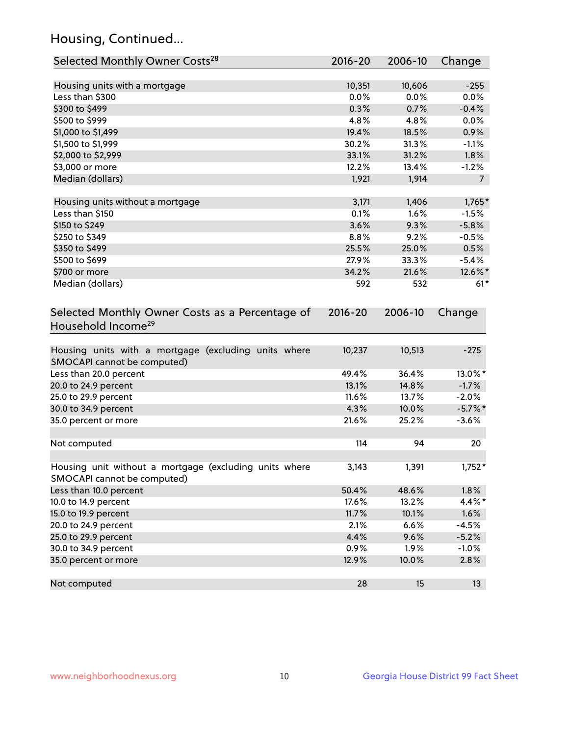## Housing, Continued...

| Selected Monthly Owner Costs <sup>28</sup>                                            | 2016-20 | 2006-10 | Change         |
|---------------------------------------------------------------------------------------|---------|---------|----------------|
| Housing units with a mortgage                                                         | 10,351  | 10,606  | $-255$         |
| Less than \$300                                                                       | 0.0%    | 0.0%    | 0.0%           |
| \$300 to \$499                                                                        | 0.3%    | 0.7%    | $-0.4%$        |
| \$500 to \$999                                                                        | 4.8%    | 4.8%    | 0.0%           |
| \$1,000 to \$1,499                                                                    | 19.4%   | 18.5%   | 0.9%           |
| \$1,500 to \$1,999                                                                    | 30.2%   | 31.3%   | $-1.1%$        |
| \$2,000 to \$2,999                                                                    | 33.1%   | 31.2%   | 1.8%           |
| \$3,000 or more                                                                       | 12.2%   | 13.4%   | $-1.2%$        |
| Median (dollars)                                                                      | 1,921   | 1,914   | $\overline{7}$ |
| Housing units without a mortgage                                                      | 3,171   | 1,406   | $1,765*$       |
| Less than \$150                                                                       | 0.1%    | 1.6%    | $-1.5%$        |
| \$150 to \$249                                                                        | 3.6%    | 9.3%    | $-5.8%$        |
| \$250 to \$349                                                                        | 8.8%    | 9.2%    | $-0.5%$        |
| \$350 to \$499                                                                        | 25.5%   | 25.0%   | 0.5%           |
| \$500 to \$699                                                                        | 27.9%   | 33.3%   | $-5.4%$        |
| \$700 or more                                                                         | 34.2%   | 21.6%   | 12.6%*         |
| Median (dollars)                                                                      | 592     | 532     | $61*$          |
| Household Income <sup>29</sup>                                                        |         |         |                |
| Housing units with a mortgage (excluding units where<br>SMOCAPI cannot be computed)   | 10,237  | 10,513  | $-275$         |
| Less than 20.0 percent                                                                | 49.4%   | 36.4%   | 13.0%*         |
| 20.0 to 24.9 percent                                                                  | 13.1%   | 14.8%   | $-1.7%$        |
| 25.0 to 29.9 percent                                                                  | 11.6%   | 13.7%   | $-2.0%$        |
| 30.0 to 34.9 percent                                                                  | 4.3%    | 10.0%   | $-5.7\%$ *     |
| 35.0 percent or more                                                                  | 21.6%   | 25.2%   | $-3.6%$        |
| Not computed                                                                          | 114     | 94      | 20             |
| Housing unit without a mortgage (excluding units where<br>SMOCAPI cannot be computed) | 3,143   | 1,391   | $1,752*$       |
| Less than 10.0 percent                                                                | 50.4%   | 48.6%   | 1.8%           |
| 10.0 to 14.9 percent                                                                  | 17.6%   | 13.2%   | 4.4%*          |
| 15.0 to 19.9 percent                                                                  | 11.7%   | 10.1%   | 1.6%           |
| 20.0 to 24.9 percent                                                                  | 2.1%    | 6.6%    | $-4.5%$        |
| 25.0 to 29.9 percent                                                                  | 4.4%    | 9.6%    | $-5.2%$        |
| 30.0 to 34.9 percent                                                                  | 0.9%    | 1.9%    | $-1.0%$        |
| 35.0 percent or more                                                                  | 12.9%   | 10.0%   | 2.8%           |
| Not computed                                                                          | 28      | 15      | 13             |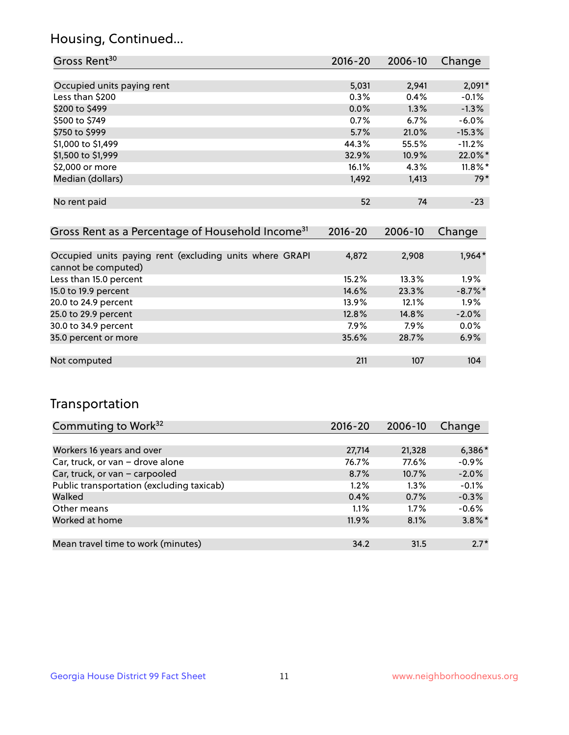## Housing, Continued...

| Gross Rent <sup>30</sup>   | 2016-20 | 2006-10 | Change     |
|----------------------------|---------|---------|------------|
|                            |         |         |            |
| Occupied units paying rent | 5,031   | 2,941   | $2,091*$   |
| Less than \$200            | 0.3%    | 0.4%    | $-0.1%$    |
| \$200 to \$499             | 0.0%    | 1.3%    | $-1.3%$    |
| \$500 to \$749             | 0.7%    | 6.7%    | $-6.0\%$   |
| \$750 to \$999             | 5.7%    | 21.0%   | $-15.3%$   |
| \$1,000 to \$1,499         | 44.3%   | 55.5%   | $-11.2%$   |
| \$1,500 to \$1,999         | 32.9%   | 10.9%   | 22.0%*     |
| \$2,000 or more            | 16.1%   | 4.3%    | $11.8\%$ * |
| Median (dollars)           | 1,492   | 1,413   | $79*$      |
|                            |         |         |            |
| No rent paid               | 52      | 74      | $-23$      |

| Gross Rent as a Percentage of Household Income <sup>31</sup>                   | $2016 - 20$ | 2006-10 | Change     |
|--------------------------------------------------------------------------------|-------------|---------|------------|
|                                                                                |             |         |            |
| Occupied units paying rent (excluding units where GRAPI<br>cannot be computed) | 4,872       | 2,908   | 1,964*     |
| Less than 15.0 percent                                                         | 15.2%       | 13.3%   | $1.9\%$    |
| 15.0 to 19.9 percent                                                           | 14.6%       | 23.3%   | $-8.7\%$ * |
| 20.0 to 24.9 percent                                                           | 13.9%       | 12.1%   | 1.9%       |
| 25.0 to 29.9 percent                                                           | 12.8%       | 14.8%   | $-2.0%$    |
| 30.0 to 34.9 percent                                                           | $7.9\%$     | 7.9%    | 0.0%       |
| 35.0 percent or more                                                           | 35.6%       | 28.7%   | 6.9%       |
| Not computed                                                                   | 211         | 107     | 104        |

## Transportation

| Commuting to Work <sup>32</sup>           | 2016-20 | 2006-10 | Change    |
|-------------------------------------------|---------|---------|-----------|
|                                           |         |         |           |
| Workers 16 years and over                 | 27,714  | 21,328  | $6,386*$  |
| Car, truck, or van - drove alone          | 76.7%   | 77.6%   | $-0.9%$   |
| Car, truck, or van - carpooled            | 8.7%    | 10.7%   | $-2.0%$   |
| Public transportation (excluding taxicab) | $1.2\%$ | $1.3\%$ | $-0.1%$   |
| Walked                                    | 0.4%    | 0.7%    | $-0.3%$   |
| Other means                               | 1.1%    | $1.7\%$ | $-0.6%$   |
| Worked at home                            | 11.9%   | 8.1%    | $3.8\%$ * |
|                                           |         |         |           |
| Mean travel time to work (minutes)        | 34.2    | 31.5    | $2.7*$    |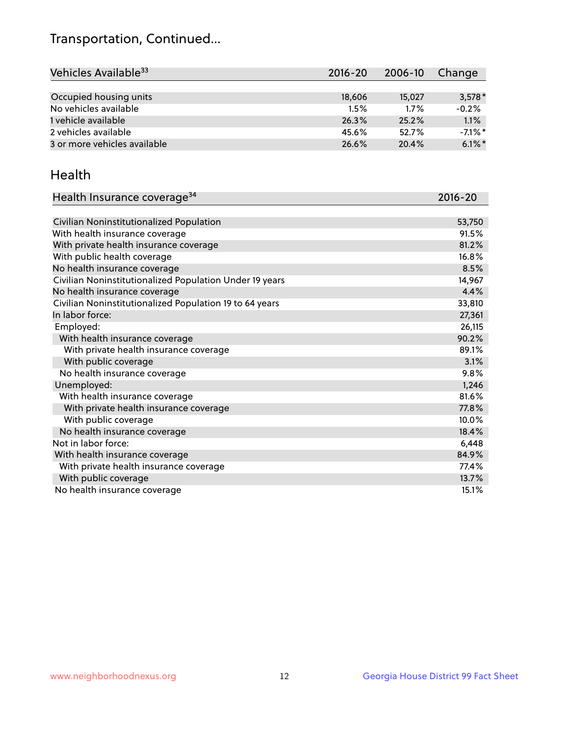## Transportation, Continued...

| Vehicles Available <sup>33</sup> | $2016 - 20$ | $2006 - 10$ | Change     |
|----------------------------------|-------------|-------------|------------|
|                                  |             |             |            |
| Occupied housing units           | 18,606      | 15,027      | $3,578*$   |
| No vehicles available            | 1.5%        | 1.7%        | $-0.2%$    |
| 1 vehicle available              | 26.3%       | 25.2%       | 1.1%       |
| 2 vehicles available             | 45.6%       | 52.7%       | $-7.1\%$ * |
| 3 or more vehicles available     | 26.6%       | 20.4%       | $6.1\%$ *  |

#### Health

| Health Insurance coverage <sup>34</sup>                 | 2016-20 |
|---------------------------------------------------------|---------|
|                                                         |         |
| Civilian Noninstitutionalized Population                | 53,750  |
| With health insurance coverage                          | 91.5%   |
| With private health insurance coverage                  | 81.2%   |
| With public health coverage                             | 16.8%   |
| No health insurance coverage                            | 8.5%    |
| Civilian Noninstitutionalized Population Under 19 years | 14,967  |
| No health insurance coverage                            | 4.4%    |
| Civilian Noninstitutionalized Population 19 to 64 years | 33,810  |
| In labor force:                                         | 27,361  |
| Employed:                                               | 26,115  |
| With health insurance coverage                          | 90.2%   |
| With private health insurance coverage                  | 89.1%   |
| With public coverage                                    | 3.1%    |
| No health insurance coverage                            | 9.8%    |
| Unemployed:                                             | 1,246   |
| With health insurance coverage                          | 81.6%   |
| With private health insurance coverage                  | 77.8%   |
| With public coverage                                    | 10.0%   |
| No health insurance coverage                            | 18.4%   |
| Not in labor force:                                     | 6,448   |
| With health insurance coverage                          | 84.9%   |
| With private health insurance coverage                  | 77.4%   |
| With public coverage                                    | 13.7%   |
| No health insurance coverage                            | 15.1%   |